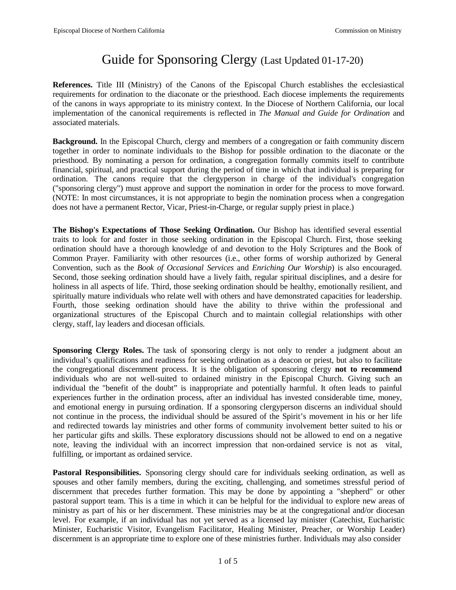# Guide for Sponsoring Clergy (Last Updated 01-17-20)

**References.** Title III (Ministry) of the Canons of the Episcopal Church establishes the ecclesiastical requirements for ordination to the diaconate or the priesthood. Each diocese implements the requirements of the canons in ways appropriate to its ministry context. In the Diocese of Northern California, our local implementation of the canonical requirements is reflected in *The Manual and Guide for Ordination* and associated materials.

**Background.** In the Episcopal Church, clergy and members of a congregation or faith community discern together in order to nominate individuals to the Bishop for possible ordination to the diaconate or the priesthood. By nominating a person for ordination, a congregation formally commits itself to contribute financial, spiritual, and practical support during the period of time in which that individual is preparing for ordination. The canons require that the clergyperson in charge of the individual's congregation ("sponsoring clergy") must approve and support the nomination in order for the process to move forward. (NOTE: In most circumstances, it is not appropriate to begin the nomination process when a congregation does not have a permanent Rector, Vicar, Priest-in-Charge, or regular supply priest in place.)

**The Bishop's Expectations of Those Seeking Ordination.** Our Bishop has identified several essential traits to look for and foster in those seeking ordination in the Episcopal Church. First, those seeking ordination should have a thorough knowledge of and devotion to the Holy Scriptures and the Book of Common Prayer. Familiarity with other resources (i.e., other forms of worship authorized by General Convention, such as the *Book of Occasional Services* and *Enriching Our Worship*) is also encouraged. Second, those seeking ordination should have a lively faith, regular spiritual disciplines, and a desire for holiness in all aspects of life. Third, those seeking ordination should be healthy, emotionally resilient, and spiritually mature individuals who relate well with others and have demonstrated capacities for leadership. Fourth, those seeking ordination should have the ability to thrive within the professional and organizational structures of the Episcopal Church and to maintain collegial relationships with other clergy, staff, lay leaders and diocesan officials.

**Sponsoring Clergy Roles.** The task of sponsoring clergy is not only to render a judgment about an individual's qualifications and readiness for seeking ordination as a deacon or priest, but also to facilitate the congregational discernment process. It is the obligation of sponsoring clergy **not to recommend** individuals who are not well-suited to ordained ministry in the Episcopal Church. Giving such an individual the "benefit of the doubt" is inappropriate and potentially harmful. It often leads to painful experiences further in the ordination process, after an individual has invested considerable time, money, and emotional energy in pursuing ordination. If a sponsoring clergyperson discerns an individual should not continue in the process, the individual should be assured of the Spirit's movement in his or her life and redirected towards lay ministries and other forms of community involvement better suited to his or her particular gifts and skills. These exploratory discussions should not be allowed to end on a negative note, leaving the individual with an incorrect impression that non-ordained service is not as vital, fulfilling, or important as ordained service.

**Pastoral Responsibilities.** Sponsoring clergy should care for individuals seeking ordination, as well as spouses and other family members, during the exciting, challenging, and sometimes stressful period of discernment that precedes further formation. This may be done by appointing a "shepherd" or other pastoral support team. This is a time in which it can be helpful for the individual to explore new areas of ministry as part of his or her discernment. These ministries may be at the congregational and/or diocesan level. For example, if an individual has not yet served as a licensed lay minister (Catechist, Eucharistic Minister, Eucharistic Visitor, Evangelism Facilitator, Healing Minister, Preacher, or Worship Leader) discernment is an appropriate time to explore one of these ministries further. Individuals may also consider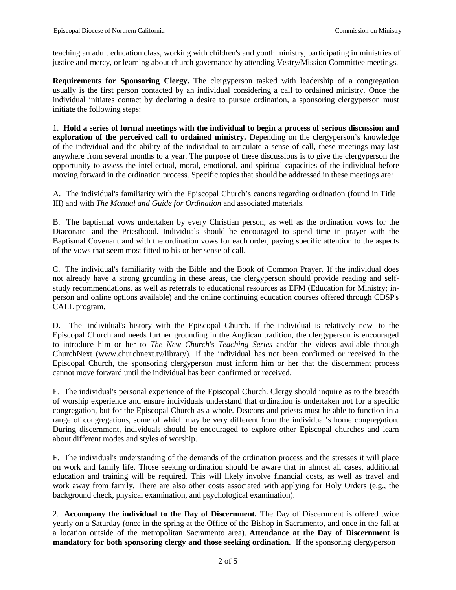teaching an adult education class, working with children's and youth ministry, participating in ministries of justice and mercy, or learning about church governance by attending Vestry/Mission Committee meetings.

**Requirements for Sponsoring Clergy.** The clergyperson tasked with leadership of a congregation usually is the first person contacted by an individual considering a call to ordained ministry. Once the individual initiates contact by declaring a desire to pursue ordination, a sponsoring clergyperson must initiate the following steps:

1. **Hold a series of formal meetings with the individual to begin a process of serious discussion and exploration of the perceived call to ordained ministry.** Depending on the clergyperson's knowledge of the individual and the ability of the individual to articulate a sense of call, these meetings may last anywhere from several months to a year. The purpose of these discussions is to give the clergyperson the opportunity to assess the intellectual, moral, emotional, and spiritual capacities of the individual before moving forward in the ordination process. Specific topics that should be addressed in these meetings are:

A. The individual's familiarity with the Episcopal Church's canons regarding ordination (found in Title III) and with *The Manual and Guide for Ordination* and associated materials.

B. The baptismal vows undertaken by every Christian person, as well as the ordination vows for the Diaconate and the Priesthood. Individuals should be encouraged to spend time in prayer with the Baptismal Covenant and with the ordination vows for each order, paying specific attention to the aspects of the vows that seem most fitted to his or her sense of call.

C. The individual's familiarity with the Bible and the Book of Common Prayer. If the individual does not already have a strong grounding in these areas, the clergyperson should provide reading and selfstudy recommendations, as well as referrals to educational resources as EFM (Education for Ministry; inperson and online options available) and the online continuing education courses offered through CDSP's CALL program.

D. The individual's history with the Episcopal Church. If the individual is relatively new to the Episcopal Church and needs further grounding in the Anglican tradition, the clergyperson is encouraged to introduce him or her to *The New Church's Teaching Series* and/or the videos available through ChurchNext [\(www.churchnext.tv/library\).](http://www.churchnext.tv/library)) If the individual has not been confirmed or received in the Episcopal Church, the sponsoring clergyperson must inform him or her that the discernment process cannot move forward until the individual has been confirmed or received.

E. The individual's personal experience of the Episcopal Church. Clergy should inquire as to the breadth of worship experience and ensure individuals understand that ordination is undertaken not for a specific congregation, but for the Episcopal Church as a whole. Deacons and priests must be able to function in a range of congregations, some of which may be very different from the individual's home congregation. During discernment, individuals should be encouraged to explore other Episcopal churches and learn about different modes and styles of worship.

F. The individual's understanding of the demands of the ordination process and the stresses it will place on work and family life. Those seeking ordination should be aware that in almost all cases, additional education and training will be required. This will likely involve financial costs, as well as travel and work away from family. There are also other costs associated with applying for Holy Orders (e.g., the background check, physical examination, and psychological examination).

2. **Accompany the individual to the Day of Discernment.** The Day of Discernment is offered twice yearly on a Saturday (once in the spring at the Office of the Bishop in Sacramento, and once in the fall at a location outside of the metropolitan Sacramento area). **Attendance at the Day of Discernment is mandatory for both sponsoring clergy and those seeking ordination.** If the sponsoring clergyperson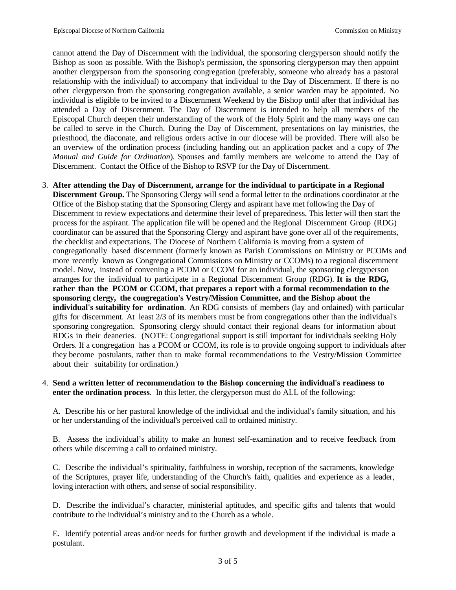cannot attend the Day of Discernment with the individual, the sponsoring clergyperson should notify the Bishop as soon as possible. With the Bishop's permission, the sponsoring clergyperson may then appoint another clergyperson from the sponsoring congregation (preferably, someone who already has a pastoral relationship with the individual) to accompany that individual to the Day of Discernment. If there is no other clergyperson from the sponsoring congregation available, a senior warden may be appointed. No individual is eligible to be invited to a Discernment Weekend by the Bishop until after that individual has attended a Day of Discernment. The Day of Discernment is intended to help all members of the Episcopal Church deepen their understanding of the work of the Holy Spirit and the many ways one can be called to serve in the Church. During the Day of Discernment, presentations on lay ministries, the priesthood, the diaconate, and religious orders active in our diocese will be provided. There will also be an overview of the ordination process (including handing out an application packet and a copy of *The Manual and Guide for Ordination*)*.* Spouses and family members are welcome to attend the Day of Discernment. Contact the Office of the Bishop to RSVP for the Day of Discernment.

3. **After attending the Day of Discernment, arrange for the individual to participate in a Regional Discernment Group.** The Sponsoring Clergy will send a formal letter to the ordinations coordinator at the Office of the Bishop stating that the Sponsoring Clergy and aspirant have met following the Day of Discernment to review expectations and determine their level of preparedness. This letter will then start the process for the aspirant. The application file will be opened and the Regional Discernment Group (RDG) coordinator can be assured that the Sponsoring Clergy and aspirant have gone over all of the requirements, the checklist and expectations. The Diocese of Northern California is moving from a system of congregationally based discernment (formerly known as Parish Commissions on Ministry or PCOMs and more recently known as Congregational Commissions on Ministry or CCOMs) to a regional discernment model. Now, instead of convening a PCOM or CCOM for an individual, the sponsoring clergyperson arranges for the individual to participate in a Regional Discernment Group (RDG). **It is the RDG, rather than the PCOM or CCOM, that prepares a report with a formal recommendation to the sponsoring clergy, the congregation's Vestry/Mission Committee, and the Bishop about the individual's suitability for ordination**. An RDG consists of members (lay and ordained) with particular gifts for discernment. At least 2/3 of its members must be from congregations other than the individual's sponsoring congregation. Sponsoring clergy should contact their regional deans for information about RDGs in their deaneries. (NOTE: Congregational support is still important for individuals seeking Holy Orders. If a congregation has a PCOM or CCOM, its role is to provide ongoing support to individuals after they become postulants, rather than to make formal recommendations to the Vestry/Mission Committee about their suitability for ordination.)

#### 4. **Send a written letter of recommendation to the Bishop concerning the individual's readiness to enter the ordination process**. In this letter, the clergyperson must do ALL of the following:

A. Describe his or her pastoral knowledge of the individual and the individual's family situation, and his or her understanding of the individual's perceived call to ordained ministry.

B. Assess the individual's ability to make an honest self-examination and to receive feedback from others while discerning a call to ordained ministry.

C. Describe the individual's spirituality, faithfulness in worship, reception of the sacraments, knowledge of the Scriptures, prayer life, understanding of the Church's faith, qualities and experience as a leader, loving interaction with others, and sense of social responsibility.

D. Describe the individual's character, ministerial aptitudes, and specific gifts and talents that would contribute to the individual's ministry and to the Church as a whole.

E. Identify potential areas and/or needs for further growth and development if the individual is made a postulant.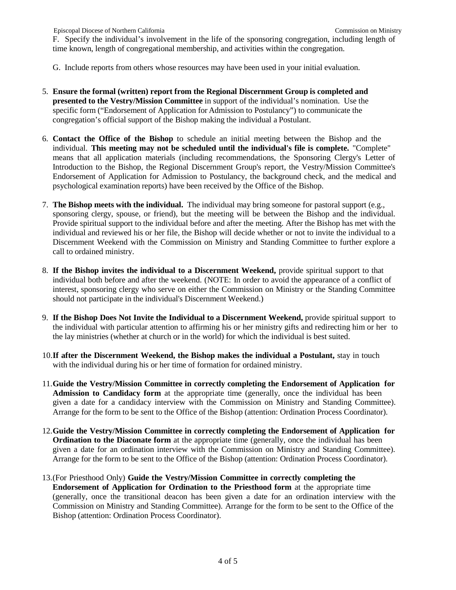F. Specify the individual's involvement in the life of the sponsoring congregation, including length of time known, length of congregational membership, and activities within the congregation.

- G. Include reports from others whose resources may have been used in your initial evaluation.
- 5. **Ensure the formal (written) report from the Regional Discernment Group is completed and presented to the Vestry/Mission Committee** in support of the individual's nomination. Use the specific form ("Endorsement of Application for Admission to Postulancy") to communicate the congregation's official support of the Bishop making the individual a Postulant.
- 6. **Contact the Office of the Bishop** to schedule an initial meeting between the Bishop and the individual. **This meeting may not be scheduled until the individual's file is complete.** "Complete" means that all application materials (including recommendations, the Sponsoring Clergy's Letter of Introduction to the Bishop, the Regional Discernment Group's report, the Vestry/Mission Committee's Endorsement of Application for Admission to Postulancy, the background check, and the medical and psychological examination reports) have been received by the Office of the Bishop.
- 7. **The Bishop meets with the individual.** The individual may bring someone for pastoral support (e.g., sponsoring clergy, spouse, or friend), but the meeting will be between the Bishop and the individual. Provide spiritual support to the individual before and after the meeting. After the Bishop has met with the individual and reviewed his or her file, the Bishop will decide whether or not to invite the individual to a Discernment Weekend with the Commission on Ministry and Standing Committee to further explore a call to ordained ministry.
- 8. **If the Bishop invites the individual to a Discernment Weekend,** provide spiritual support to that individual both before and after the weekend. (NOTE: In order to avoid the appearance of a conflict of interest, sponsoring clergy who serve on either the Commission on Ministry or the Standing Committee should not participate in the individual's Discernment Weekend.)
- 9. **If the Bishop Does Not Invite the Individual to a Discernment Weekend,** provide spiritual support to the individual with particular attention to affirming his or her ministry gifts and redirecting him or her to the lay ministries (whether at church or in the world) for which the individual is best suited.
- 10.**If after the Discernment Weekend, the Bishop makes the individual a Postulant,** stay in touch with the individual during his or her time of formation for ordained ministry.
- 11.**Guide the Vestry/Mission Committee in correctly completing the Endorsement of Application for Admission to Candidacy form** at the appropriate time (generally, once the individual has been given a date for a candidacy interview with the Commission on Ministry and Standing Committee). Arrange for the form to be sent to the Office of the Bishop (attention: Ordination Process Coordinator).
- 12.**Guide the Vestry/Mission Committee in correctly completing the Endorsement of Application for Ordination to the Diaconate form** at the appropriate time (generally, once the individual has been given a date for an ordination interview with the Commission on Ministry and Standing Committee). Arrange for the form to be sent to the Office of the Bishop (attention: Ordination Process Coordinator).
- 13.(For Priesthood Only) **Guide the Vestry/Mission Committee in correctly completing the Endorsement of Application for Ordination to the Priesthood form** at the appropriate time (generally, once the transitional deacon has been given a date for an ordination interview with the Commission on Ministry and Standing Committee). Arrange for the form to be sent to the Office of the Bishop (attention: Ordination Process Coordinator).